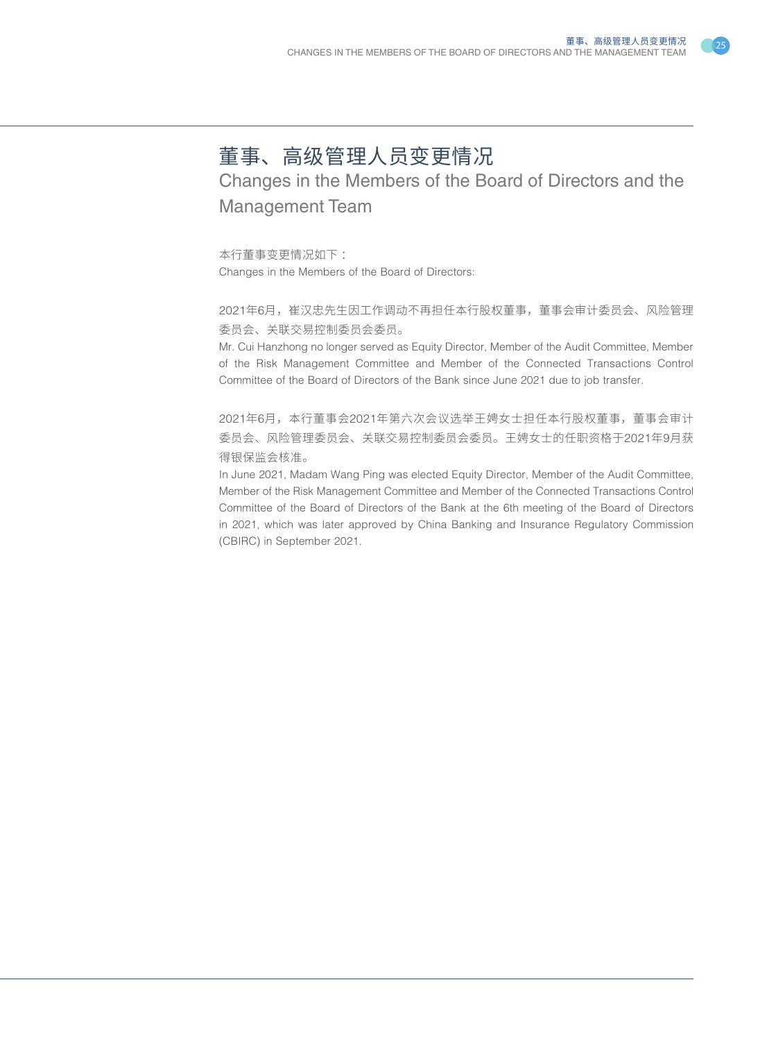## 董事、高级管理人员变更情况

Changes in the Members of the Board of Directors and the Management Team

本行董事变更情况如下 : Changes in the Members of the Board of Directors:

2021年6月,崔汉忠先生因工作调动不再担任本行股权董事,董事会审计委员会、风险管理 委员会、关联交易控制委员会委员。

Mr. Cui Hanzhong no longer served as Equity Director, Member of the Audit Committee, Member of the Risk Management Committee and Member of the Connected Transactions Control Committee of the Board of Directors of the Bank since June 2021 due to job transfer.

2021年6月,本行董事会2021年第六次会议选举王娉女士担任本行股权董事,董事会审计 委员会、风险管理委员会、关联交易控制委员会委员。王娉女士的任职资格于2021年9月获 得银保监会核准。

In June 2021, Madam Wang Ping was elected Equity Director, Member of the Audit Committee, Member of the Risk Management Committee and Member of the Connected Transactions Control Committee of the Board of Directors of the Bank at the 6th meeting of the Board of Directors in 2021, which was later approved by China Banking and Insurance Regulatory Commission (CBIRC) in September 2021.